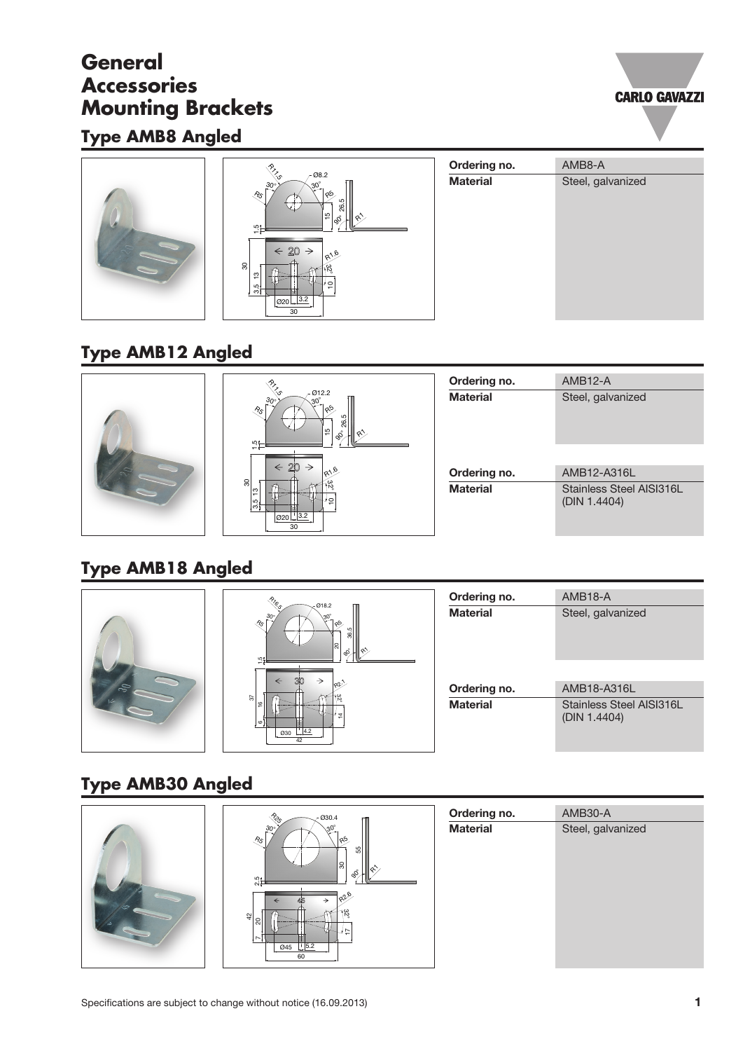## **General Accessories Mounting Brackets**

## **Type AMB8 Angled**





# **Type AMB12 Angled**



# **Type AMB18 Angled**



# **Type AMB30 Angled**

| $\begin{picture}(120,15) \put(0,0){\vector(0,1){30}} \put(15,0){\vector(0,1){30}} \put(15,0){\vector(0,1){30}} \put(15,0){\vector(0,1){30}} \put(15,0){\vector(0,1){30}} \put(15,0){\vector(0,1){30}} \put(15,0){\vector(0,1){30}} \put(15,0){\vector(0,1){30}} \put(15,0){\vector(0,1){30}} \put(15,0){\vector(0,1){30}} \put(15,0){\vector(0,1){30}} \put(15,0){\vector($<br>$-030.4$ | Ordering no.    | AMB30-A           |
|-----------------------------------------------------------------------------------------------------------------------------------------------------------------------------------------------------------------------------------------------------------------------------------------------------------------------------------------------------------------------------------------|-----------------|-------------------|
| $30^{\circ}$<br>$30^\circ$<br>a5.<br>$\sqrt[8]{5}$<br>ಜ<br>ခြ<br>ஃ<br>$\frac{5}{25}$<br>1826<br>→<br>←<br>$\frac{1}{2}$<br> ຊ<br>$\emptyset$ 45 $\frac{1}{2}$ 5.2<br>60                                                                                                                                                                                                                 | <b>Material</b> | Steel, galvanized |